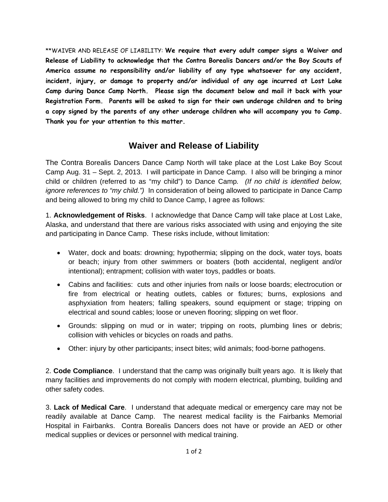\*\*WAIVER AND RELEASE OF LIABILITY: **We require that every adult camper signs a Waiver and Release of Liability to acknowledge that the Contra Borealis Dancers and/or the Boy Scouts of America assume no responsibility and/or liability of any type whatsoever for any accident, incident, injury, or damage to property and/or individual of any age incurred at Lost Lake Camp during Dance Camp North. Please sign the document below and mail it back with your Registration Form. Parents will be asked to sign for their own underage children and to bring a copy signed by the parents of any other underage children who will accompany you to Camp. Thank you for your attention to this matter.** 

## **Waiver and Release of Liability**

The Contra Borealis Dancers Dance Camp North will take place at the Lost Lake Boy Scout Camp Aug. 31 – Sept. 2, 2013. I will participate in Dance Camp. I also will be bringing a minor child or children (referred to as "my child") to Dance Camp*. (If no child is identified below, ignore references to "my child.")* In consideration of being allowed to participate in Dance Camp and being allowed to bring my child to Dance Camp, I agree as follows:

1. **Acknowledgement of Risks**. I acknowledge that Dance Camp will take place at Lost Lake, Alaska, and understand that there are various risks associated with using and enjoying the site and participating in Dance Camp. These risks include, without limitation:

- Water, dock and boats: drowning; hypothermia; slipping on the dock, water toys, boats or beach; injury from other swimmers or boaters (both accidental, negligent and/or intentional); entrapment; collision with water toys, paddles or boats.
- Cabins and facilities: cuts and other injuries from nails or loose boards; electrocution or fire from electrical or heating outlets, cables or fixtures; burns, explosions and asphyxiation from heaters; falling speakers, sound equipment or stage; tripping on electrical and sound cables; loose or uneven flooring; slipping on wet floor.
- Grounds: slipping on mud or in water; tripping on roots, plumbing lines or debris; collision with vehicles or bicycles on roads and paths.
- Other: injury by other participants; insect bites; wild animals; food-borne pathogens.

2. **Code Compliance**. I understand that the camp was originally built years ago. It is likely that many facilities and improvements do not comply with modern electrical, plumbing, building and other safety codes.

3. **Lack of Medical Care**. I understand that adequate medical or emergency care may not be readily available at Dance Camp. The nearest medical facility is the Fairbanks Memorial Hospital in Fairbanks. Contra Borealis Dancers does not have or provide an AED or other medical supplies or devices or personnel with medical training.